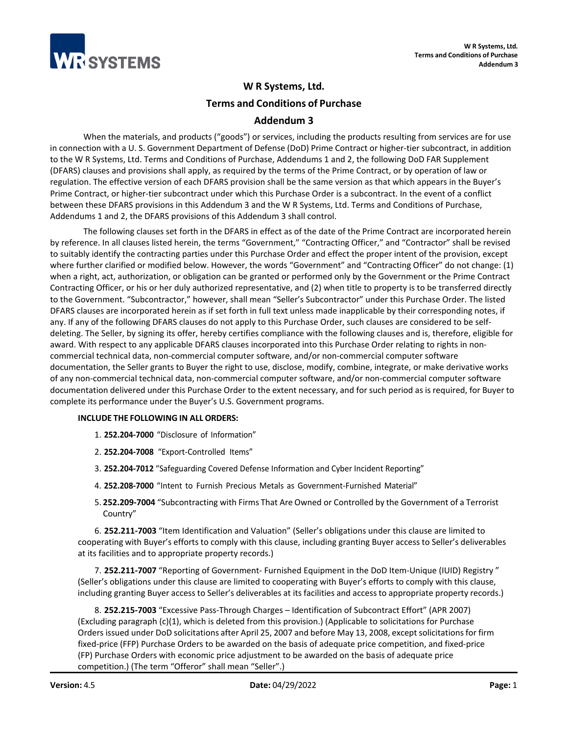

# **W R Systems, Ltd.**

**Terms and Conditions of Purchase** 

## **Addendum 3**

When the materials, and products ("goods") or services, including the products resulting from services are for use in connection with a U. S. Government Department of Defense (DoD) Prime Contract or higher-tier subcontract, in addition to the W R Systems, Ltd. Terms and Conditions of Purchase, Addendums 1 and 2, the following DoD FAR Supplement (DFARS) clauses and provisions shall apply, as required by the terms of the Prime Contract, or by operation of law or regulation. The effective version of each DFARS provision shall be the same version as that which appears in the Buyer's Prime Contract, or higher-tier subcontract under which this Purchase Order is a subcontract. In the event of a conflict between these DFARS provisions in this Addendum 3 and the W R Systems, Ltd. Terms and Conditions of Purchase, Addendums 1 and 2, the DFARS provisions of this Addendum 3 shall control.

The following clauses set forth in the DFARS in effect as of the date of the Prime Contract are incorporated herein by reference. In all clauses listed herein, the terms "Government," "Contracting Officer," and "Contractor" shall be revised to suitably identify the contracting parties under this Purchase Order and effect the proper intent of the provision, except where further clarified or modified below. However, the words "Government" and "Contracting Officer" do not change: (1) when a right, act, authorization, or obligation can be granted or performed only by the Government or the Prime Contract Contracting Officer, or his or her duly authorized representative, and (2) when title to property is to be transferred directly to the Government. "Subcontractor," however, shall mean "Seller's Subcontractor" under this Purchase Order. The listed DFARS clauses are incorporated herein as if set forth in full text unless made inapplicable by their corresponding notes, if any. If any of the following DFARS clauses do not apply to this Purchase Order, such clauses are considered to be selfdeleting. The Seller, by signing its offer, hereby certifies compliance with the following clauses and is, therefore, eligible for award. With respect to any applicable DFARS clauses incorporated into this Purchase Order relating to rights in noncommercial technical data, non-commercial computer software, and/or non-commercial computer software documentation, the Seller grants to Buyer the right to use, disclose, modify, combine, integrate, or make derivative works of any non-commercial technical data, non-commercial computer software, and/or non-commercial computer software documentation delivered under this Purchase Order to the extent necessary, and for such period as is required, for Buyer to complete its performance under the Buyer's U.S. Government programs.

## **INCLUDE THE FOLLOWING IN ALL ORDERS:**

- 1. **252.204-7000** "Disclosure of Information"
- 2. **252.204-7008** "Export-Controlled Items"
- 3. **252.204-7012** "Safeguarding Covered Defense Information and Cyber Incident Reporting"
- 4. **252.208-7000** "Intent to Furnish Precious Metals as Government-Furnished Material"
- 5. **252.209-7004** "Subcontracting with Firms That Are Owned or Controlled by the Government of a Terrorist Country"

6. **252.211-7003** "Item Identification and Valuation" (Seller's obligations under this clause are limited to cooperating with Buyer's efforts to comply with this clause, including granting Buyer access to Seller's deliverables at its facilities and to appropriate property records.)

7. **252.211-7007** "Reporting of Government- Furnished Equipment in the DoD Item-Unique (IUID) Registry " (Seller's obligations under this clause are limited to cooperating with Buyer's efforts to comply with this clause, including granting Buyer access to Seller's deliverables at its facilities and access to appropriate property records.)

8. **252.215-7003** "Excessive Pass-Through Charges – Identification of Subcontract Effort" (APR 2007) (Excluding paragraph (c)(1), which is deleted from this provision.) (Applicable to solicitations for Purchase Orders issued under DoD solicitations after April 25, 2007 and before May 13, 2008, exceptsolicitationsfor firm fixed-price (FFP) Purchase Orders to be awarded on the basis of adequate price competition, and fixed-price (FP) Purchase Orders with economic price adjustment to be awarded on the basis of adequate price competition.) (The term "Offeror" shall mean "Seller".)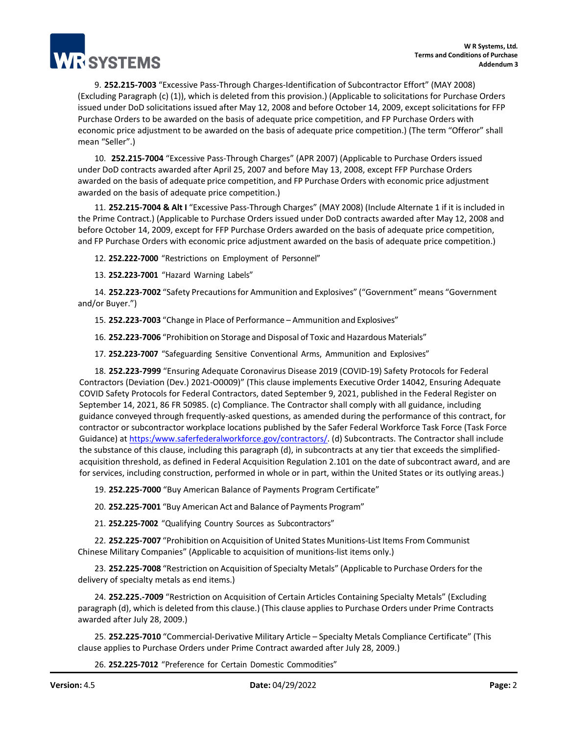9. **252.215-7003** "Excessive Pass-Through Charges-Identification of Subcontractor Effort" (MAY 2008) (Excluding Paragraph (c) (1)), which is deleted from this provision.) (Applicable to solicitations for Purchase Orders issued under DoD solicitations issued after May 12, 2008 and before October 14, 2009, except solicitations for FFP Purchase Orders to be awarded on the basis of adequate price competition, and FP Purchase Orders with economic price adjustment to be awarded on the basis of adequate price competition.) (The term "Offeror" shall mean "Seller".)

10. **252.215-7004** "Excessive Pass-Through Charges" (APR 2007) (Applicable to Purchase Orders issued under DoD contracts awarded after April 25, 2007 and before May 13, 2008, except FFP Purchase Orders awarded on the basis of adequate price competition, and FP Purchase Orders with economic price adjustment awarded on the basis of adequate price competition.)

11. **252.215-7004 & Alt I** "Excessive Pass-Through Charges" (MAY 2008) (Include Alternate 1 if it is included in the Prime Contract.) (Applicable to Purchase Orders issued under DoD contracts awarded after May 12, 2008 and before October 14, 2009, except for FFP Purchase Orders awarded on the basis of adequate price competition, and FP Purchase Orders with economic price adjustment awarded on the basis of adequate price competition.)

12. **252.222-7000** "Restrictions on Employment of Personnel"

13. **252.223-7001** "Hazard Warning Labels"

14. **252.223-7002** "Safety Precautions for Ammunition and Explosives" ("Government" means "Government and/or Buyer.")

15. **252.223-7003** "Change in Place of Performance – Ammunition and Explosives"

16. **252.223-7006** "Prohibition on Storage and Disposal of Toxic and Hazardous Materials"

17. **252.223-7007** "Safeguarding Sensitive Conventional Arms, Ammunition and Explosives"

18. **252.223-7999** "Ensuring Adequate Coronavirus Disease 2019 (COVID-19) Safety Protocols for Federal Contractors (Deviation (Dev.) 2021-O0009)" (This clause implements Executive Order 14042, Ensuring Adequate COVID Safety Protocols for Federal Contractors, dated September 9, 2021, published in the Federal Register on September 14, 2021, 86 FR 50985. (c) Compliance. The Contractor shall comply with all guidance, including guidance conveyed through frequently-asked questions, as amended during the performance of this contract, for contractor or subcontractor workplace locations published by the Safer Federal Workforce Task Force (Task Force Guidance) a[t https:/www.saferfederalworkforce.gov/contractors/. \(](https://www.saferfederalworkforce.gov/contractors/)d) Subcontracts. The Contractor shall include the substance of this clause, including this paragraph (d), in subcontracts at any tier that exceeds the simplifiedacquisition threshold, as defined in Federal Acquisition Regulation 2.101 on the date of subcontract award, and are for services, including construction, performed in whole or in part, within the United States or its outlying areas.)

19. **252.225-7000** "Buy American Balance of Payments Program Certificate"

20. **252.225-7001** "Buy American Act and Balance of Payments Program"

21. **252.225-7002** "Qualifying Country Sources as Subcontractors"

22. **252.225-7007** "Prohibition on Acquisition of United States Munitions-List Items From Communist Chinese Military Companies" (Applicable to acquisition of munitions-list items only.)

23. **252.225-7008** "Restriction on Acquisition of Specialty Metals" (Applicable to Purchase Orders for the delivery of specialty metals as end items.)

24. **252.225.-7009** "Restriction on Acquisition of Certain Articles Containing Specialty Metals" (Excluding paragraph (d), which is deleted from this clause.) (This clause applies to Purchase Orders under Prime Contracts awarded after July 28, 2009.)

25. **252.225-7010** "Commercial-Derivative Military Article – Specialty Metals Compliance Certificate" (This clause applies to Purchase Orders under Prime Contract awarded after July 28, 2009.)

26. **252.225-7012** "Preference for Certain Domestic Commodities"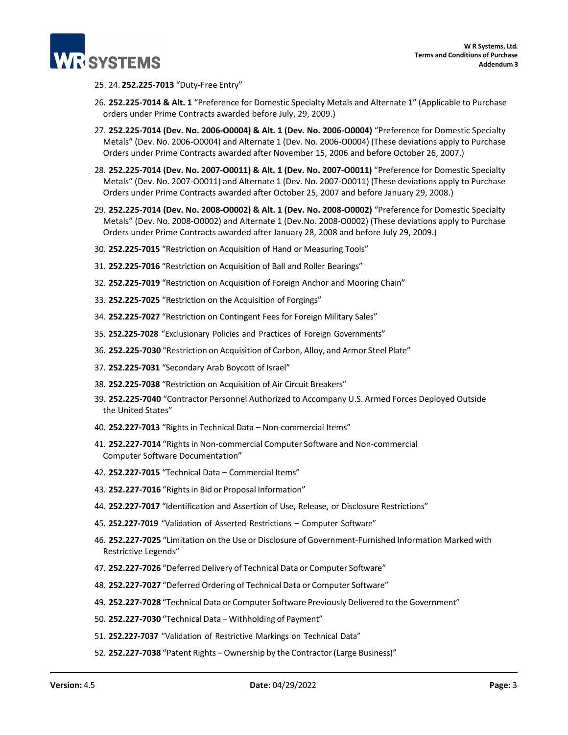

- 25. 24. **252.225-7013** "Duty-Free Entry"
- 26. **252.225-7014 & Alt. 1** "Preference for Domestic Specialty Metals and Alternate 1" (Applicable to Purchase orders under Prime Contracts awarded before July, 29, 2009.)
- 27. **252.225-7014 (Dev. No. 2006-O0004) & Alt. 1 (Dev. No. 2006-O0004)** "Preference for Domestic Specialty Metals" (Dev. No. 2006-O0004) and Alternate 1 (Dev. No. 2006-O0004) (These deviations apply to Purchase Orders under Prime Contracts awarded after November 15, 2006 and before October 26, 2007.)
- 28. **252.225-7014 (Dev. No. 2007-O0011) & Alt. 1 (Dev. No. 2007-O0011)** "Preference for Domestic Specialty Metals" (Dev. No. 2007-O0011) and Alternate 1 (Dev. No. 2007-O0011) (These deviations apply to Purchase Orders under Prime Contracts awarded after October 25, 2007 and before January 29, 2008.)
- 29. **252.225-7014 (Dev. No. 2008-O0002) & Alt. 1 (Dev. No. 2008-O0002)** "Preference for Domestic Specialty Metals" (Dev. No. 2008-O0002) and Alternate 1 (Dev.No. 2008-O0002) (These deviations apply to Purchase Orders under Prime Contracts awarded after January 28, 2008 and before July 29, 2009.)
- 30. **252.225-7015** "Restriction on Acquisition of Hand or Measuring Tools"
- 31. **252.225-7016** "Restriction on Acquisition of Ball and Roller Bearings"
- 32. **252.225-7019** "Restriction on Acquisition of Foreign Anchor and Mooring Chain"
- 33. **252.225-7025** "Restriction on the Acquisition of Forgings"
- 34. **252.225-7027** "Restriction on Contingent Fees for Foreign Military Sales"
- 35. **252.225-7028** "Exclusionary Policies and Practices of Foreign Governments"
- 36. **252.225-7030** "Restriction on Acquisition of Carbon, Alloy, and Armor Steel Plate"
- 37. **252.225-7031** "Secondary Arab Boycott of Israel"
- 38. **252.225-7038** "Restriction on Acquisition of Air Circuit Breakers"
- 39. **252.225-7040** "Contractor Personnel Authorized to Accompany U.S. Armed Forces Deployed Outside the United States"
- 40. **252.227-7013** "Rights in Technical Data Non-commercial Items"
- 41. **252.227-7014** "Rightsin Non-commercial Computer Software and Non-commercial Computer Software Documentation"
- 42. **252.227-7015** "Technical Data Commercial Items"
- 43. **252.227-7016** "Rightsin Bid or Proposal Information"
- 44. **252.227-7017** "Identification and Assertion of Use, Release, or Disclosure Restrictions"
- 45. **252.227-7019** "Validation of Asserted Restrictions Computer Software"
- 46. **252.227-7025** "Limitation on the Use or Disclosure of Government-Furnished Information Marked with Restrictive Legends"
- 47. **252.227-7026** "Deferred Delivery of Technical Data or Computer Software"
- 48. **252.227-7027** "Deferred Ordering of Technical Data or Computer Software"
- 49. **252.227-7028** "Technical Data or Computer Software Previously Delivered to the Government"
- 50. **252.227-7030** "Technical Data Withholding of Payment"
- 51. **252.227-7037** "Validation of Restrictive Markings on Technical Data"
- 52. **252.227-7038** "Patent Rights Ownership by the Contractor(Large Business)"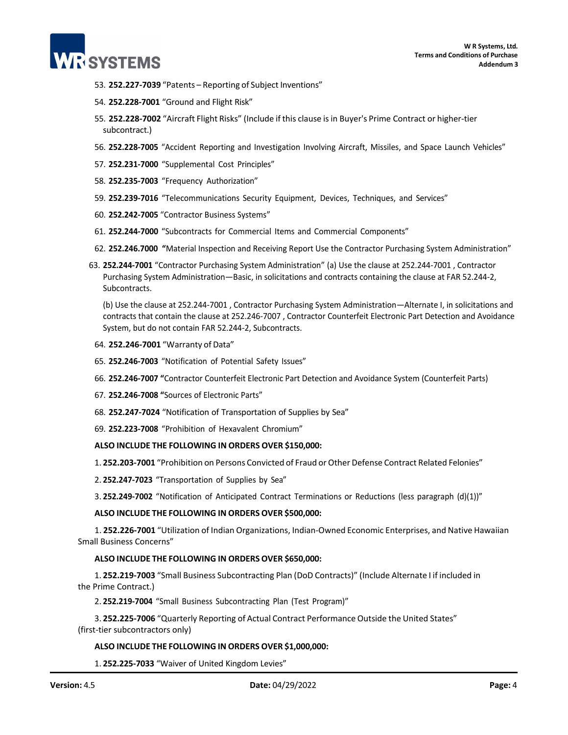

- 53. **252.227-7039** "Patents Reporting of Subject Inventions"
- 54. **252.228-7001** "Ground and Flight Risk"
- 55. **252.228-7002** "Aircraft Flight Risks" (Include if this clause isin Buyer's Prime Contract or higher-tier subcontract.)
- 56. **252.228-7005** "Accident Reporting and Investigation Involving Aircraft, Missiles, and Space Launch Vehicles"
- 57. **252.231-7000** "Supplemental Cost Principles"
- 58. **252.235-7003** "Frequency Authorization"
- 59. **252.239-7016** "Telecommunications Security Equipment, Devices, Techniques, and Services"
- 60. **252.242-7005** "Contractor Business Systems"
- 61. **252.244-7000** "Subcontracts for Commercial Items and Commercial Components"
- 62. **252.246.7000 "**Material Inspection and Receiving Report Use the Contractor Purchasing System Administration"
- 63. **252.244-7001** "Contractor Purchasing System Administration" (a) Use the clause at 252.244-7001 , Contractor Purchasing System Administration—Basic, in solicitations and contracts containing the clause at FAR 52.244-2, Subcontracts.

(b) Use the clause at 252.244-7001 , Contractor Purchasing System Administration—Alternate I, in solicitations and contracts that contain the clause at 252.246-7007 , Contractor Counterfeit Electronic Part Detection and Avoidance System, but do not contain FAR 52.244-2, Subcontracts.

- 64. **252.246-7001** "Warranty of Data"
- 65. **252.246-7003** "Notification of Potential Safety Issues"
- 66. **252.246-7007 "**Contractor Counterfeit Electronic Part Detection and Avoidance System (Counterfeit Parts)
- 67. **252.246-7008 "**Sources of Electronic Parts"
- 68. **252.247-7024** "Notification of Transportation of Supplies by Sea"
- 69. **252.223-7008** "Prohibition of Hexavalent Chromium"

## **ALSO INCLUDE THE FOLLOWING IN ORDERS OVER \$150,000:**

1. **252.203-7001** "Prohibition on Persons Convicted of Fraud or Other Defense Contract Related Felonies"

2. **252.247-7023** "Transportation of Supplies by Sea"

3. **252.249-7002** "Notification of Anticipated Contract Terminations or Reductions (less paragraph (d)(1))"

#### **ALSO INCLUDE THE FOLLOWING IN ORDERS OVER \$500,000:**

1. **252.226-7001** "Utilization of Indian Organizations, Indian-Owned Economic Enterprises, and Native Hawaiian Small Business Concerns"

## **ALSO INCLUDE THE FOLLOWING IN ORDERS OVER \$650,000:**

1. **252.219-7003** "Small Business Subcontracting Plan (DoD Contracts)" (Include Alternate I if included in the Prime Contract.)

2. **252.219-7004** "Small Business Subcontracting Plan (Test Program)"

3. **252.225-7006** "Quarterly Reporting of Actual Contract Performance Outside the United States" (first-tier subcontractors only)

#### **ALSO INCLUDE THE FOLLOWING IN ORDERS OVER \$1,000,000:**

1. **252.225-7033** "Waiver of United Kingdom Levies"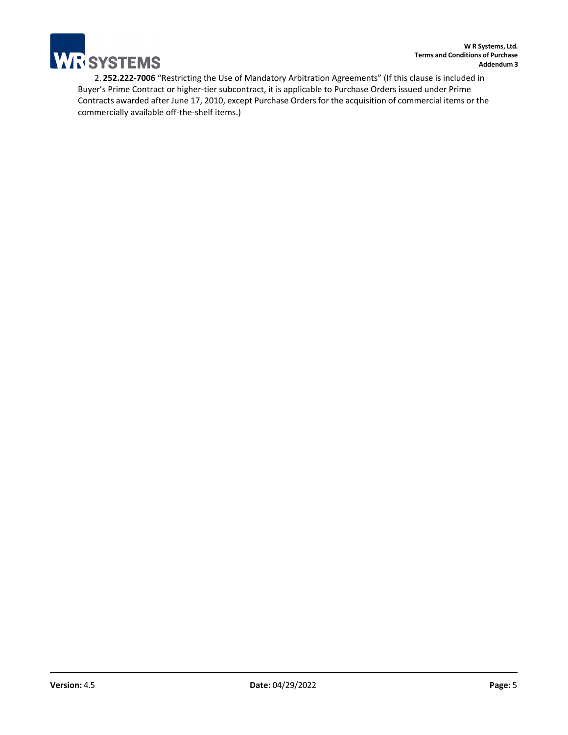

2. **252.222-7006** "Restricting the Use of Mandatory Arbitration Agreements" (If this clause is included in Buyer's Prime Contract or higher-tier subcontract, it is applicable to Purchase Orders issued under Prime Contracts awarded after June 17, 2010, except Purchase Orders for the acquisition of commercial items or the commercially available off-the-shelf items.)